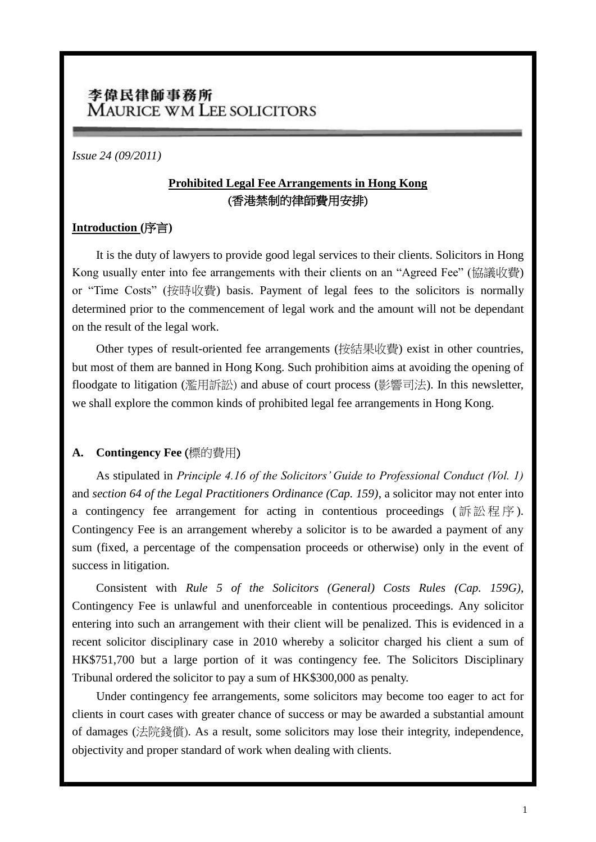# 李偉民律師事務所 **MAURICE WM LEE SOLICITORS**

#### *Issue 24 (09/2011)*

## **Prohibited Legal Fee Arrangements in Hong Kong** (香港禁制的律師費用安排)

#### **Introduction (**序言**)**

It is the duty of lawyers to provide good legal services to their clients. Solicitors in Hong Kong usually enter into fee arrangements with their clients on an "Agreed Fee" (協議收費) or "Time Costs" (按時收費) basis. Payment of legal fees to the solicitors is normally determined prior to the commencement of legal work and the amount will not be dependant on the result of the legal work.

Other types of result-oriented fee arrangements (按結果收費) exist in other countries, but most of them are banned in Hong Kong. Such prohibition aims at avoiding the opening of floodgate to litigation (濫用訴訟) and abuse of court process (影響司法). In this newsletter, we shall explore the common kinds of prohibited legal fee arrangements in Hong Kong.

#### **A. Contingency Fee** (標的費用)

As stipulated in *Principle 4.16 of the Solicitors' Guide to Professional Conduct (Vol. 1)* and *section 64 of the Legal Practitioners Ordinance (Cap. 159)*, a solicitor may not enter into a contingency fee arrangement for acting in contentious proceedings (訴訟程序). Contingency Fee is an arrangement whereby a solicitor is to be awarded a payment of any sum (fixed, a percentage of the compensation proceeds or otherwise) only in the event of success in litigation.

Consistent with *Rule 5 of the Solicitors (General) Costs Rules (Cap. 159G)*, Contingency Fee is unlawful and unenforceable in contentious proceedings. Any solicitor entering into such an arrangement with their client will be penalized. This is evidenced in a recent solicitor disciplinary case in 2010 whereby a solicitor charged his client a sum of HK\$751,700 but a large portion of it was contingency fee. The Solicitors Disciplinary Tribunal ordered the solicitor to pay a sum of HK\$300,000 as penalty.

Under contingency fee arrangements, some solicitors may become too eager to act for clients in court cases with greater chance of success or may be awarded a substantial amount of damages (法院錢償). As a result, some solicitors may lose their integrity, independence, objectivity and proper standard of work when dealing with clients.

l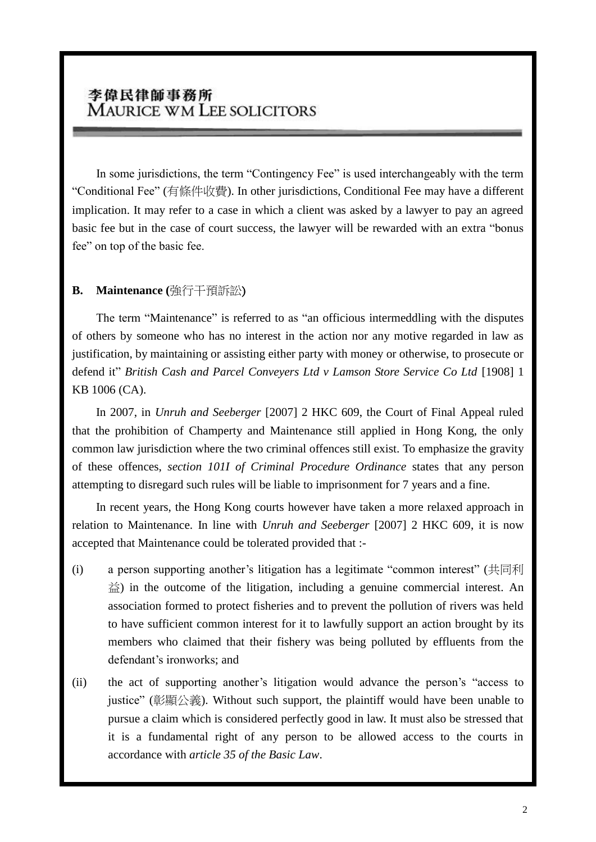# 李偉民律師事務所 **MAURICE WM LEE SOLICITORS**

In some jurisdictions, the term "Contingency Fee" is used interchangeably with the term "Conditional Fee" (有條件收費). In other jurisdictions, Conditional Fee may have a different implication. It may refer to a case in which a client was asked by a lawyer to pay an agreed basic fee but in the case of court success, the lawyer will be rewarded with an extra "bonus fee" on top of the basic fee.

### **B. Maintenance (**強行干預訴訟)

The term "Maintenance" is referred to as "an officious intermeddling with the disputes of others by someone who has no interest in the action nor any motive regarded in law as justification, by maintaining or assisting either party with money or otherwise, to prosecute or defend it" *British Cash and Parcel Conveyers Ltd v Lamson Store Service Co Ltd* [1908] 1 KB 1006 (CA).

In 2007, in *Unruh and Seeberger* [2007] 2 HKC 609, the Court of Final Appeal ruled that the prohibition of Champerty and Maintenance still applied in Hong Kong, the only common law jurisdiction where the two criminal offences still exist. To emphasize the gravity of these offences, *section 101I of Criminal Procedure Ordinance* states that any person attempting to disregard such rules will be liable to imprisonment for 7 years and a fine.

In recent years, the Hong Kong courts however have taken a more relaxed approach in relation to Maintenance. In line with *Unruh and Seeberger* [2007] 2 HKC 609, it is now accepted that Maintenance could be tolerated provided that :-

- (i) a person supporting another's litigation has a legitimate "common interest" (共同利  $\hat{\triangle}$ ) in the outcome of the litigation, including a genuine commercial interest. An association formed to protect fisheries and to prevent the pollution of rivers was held to have sufficient common interest for it to lawfully support an action brought by its members who claimed that their fishery was being polluted by effluents from the defendant's ironworks; and
- (ii) the act of supporting another's litigation would advance the person's "access to justice" (彰顯公義). Without such support, the plaintiff would have been unable to pursue a claim which is considered perfectly good in law. It must also be stressed that it is a fundamental right of any person to be allowed access to the courts in accordance with *article 35 of the Basic Law*.

l